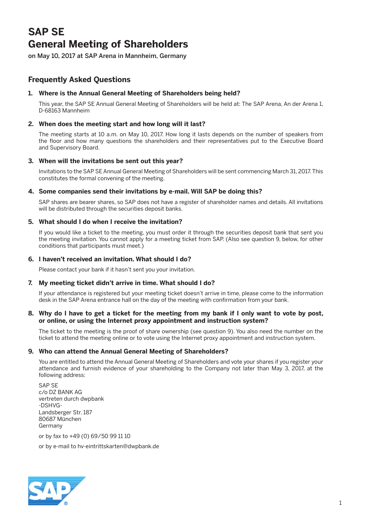# **SAP SE General Meeting of Shareholders**

on May 10, 2017 at SAP Arena in Mannheim, Germany

# **Frequently Asked Questions**

# **1. Where is the Annual General Meeting of Shareholders being held?**

 This year, the SAP SE Annual General Meeting of Shareholders will be held at: The SAP Arena, An der Arena 1, D-68163 Mannheim

# **2. When does the meeting start and how long will it last?**

 The meeting starts at 10 a.m. on May 10, 2017. How long it lasts depends on the number of speakers from the floor and how many questions the shareholders and their representatives put to the Executive Board and Supervisory Board.

# **3. When will the invitations be sent out this year?**

 Invitations to the SAP SE Annual General Meeting of Shareholders will be sent commencing March 31, 2017. This constitutes the formal convening of the meeting.

# **4. Some companies send their invitations by e-mail. Will SAP be doing this?**

 SAP shares are bearer shares, so SAP does not have a register of shareholder names and details. All invitations will be distributed through the securities deposit banks.

# **5. What should I do when I receive the invitation?**

 If you would like a ticket to the meeting, you must order it through the securities deposit bank that sent you the meeting invitation. You cannot apply for a meeting ticket from SAP. (Also see question 9, below, for other conditions that participants must meet.)

# **6. I haven't received an invitation. What should I do?**

Please contact your bank if it hasn't sent you your invitation.

# **7. My meeting ticket didn't arrive in time. What should I do?**

 If your attendance is registered but your meeting ticket doesn't arrive in time, please come to the information desk in the SAP Arena entrance hall on the day of the meeting with confirmation from your bank.

#### **8. Why do I have to get a ticket for the meeting from my bank if I only want to vote by post, or online, or using the Internet proxy appointment and instruction system?**

 The ticket to the meeting is the proof of share ownership (see question 9). You also need the number on the ticket to attend the meeting online or to vote using the Internet proxy appointment and instruction system.

# **9. Who can attend the Annual General Meeting of Shareholders?**

 You are entitled to attend the Annual General Meeting of Shareholders and vote your shares if you register your attendance and furnish evidence of your shareholding to the Company not later than May 3, 2017, at the following address:

 SAP SE c/o DZ BANK AG vertreten durch dwpbank -DSHVG-Landsberger Str. 187 80687 München Germany

or by fax to +49 (0) 69/50 99 11 10

or by e-mail to hv-eintrittskarten@dwpbank.de

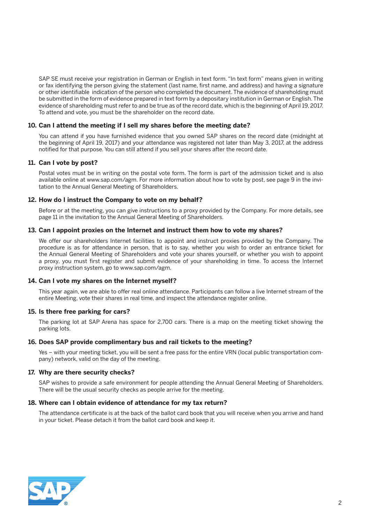SAP SE must receive your registration in German or English in text form. "In text form" means given in writing or fax identifying the person giving the statement (last name, first name, and address) and having a signature or other identifiable indication of the person who completed the document. The evidence of shareholding must be submitted in the form of evidence prepared in text form by a depositary institution in German or English. The evidence of shareholding must refer to and be true as of the record date, which is the beginning of April 19, 2017. To attend and vote, you must be the shareholder on the record date.

#### **10. Can I attend the meeting if I sell my shares before the meeting date?**

 You can attend if you have furnished evidence that you owned SAP shares on the record date (midnight at the beginning of April 19, 2017) and your attendance was registered not later than May 3, 2017, at the address notified for that purpose. You can still attend if you sell your shares after the record date.

#### **11. Can I vote by post?**

 Postal votes must be in writing on the postal vote form. The form is part of the admission ticket and is also available online at www.sap.com/agm. For more information about how to vote by post, see page 9 in the invitation to the Annual General Meeting of Shareholders.

#### **12. How do I instruct the Company to vote on my behalf?**

 Before or at the meeting, you can give instructions to a proxy provided by the Company. For more details, see page 11 in the invitation to the Annual General Meeting of Shareholders.

#### **13. Can I appoint proxies on the Internet and instruct them how to vote my shares?**

 We offer our shareholders Internet facilities to appoint and instruct proxies provided by the Company. The procedure is as for attendance in person, that is to say, whether you wish to order an entrance ticket for the Annual General Meeting of Shareholders and vote your shares yourself, or whether you wish to appoint a proxy, you must first register and submit evidence of your shareholding in time. To access the Internet proxy instruction system, go to www.sap.com/agm.

#### **14. Can I vote my shares on the Internet myself?**

 This year again, we are able to offer real online attendance. Participants can follow a live Internet stream of the entire Meeting, vote their shares in real time, and inspect the attendance register online.

#### **15. Is there free parking for cars?**

 The parking lot at SAP Arena has space for 2,700 cars. There is a map on the meeting ticket showing the parking lots.

#### **16. Does SAP provide complimentary bus and rail tickets to the meeting?**

 Yes – with your meeting ticket, you will be sent a free pass for the entire VRN (local public transportation company) network, valid on the day of the meeting.

#### **17. Why are there security checks?**

 SAP wishes to provide a safe environment for people attending the Annual General Meeting of Shareholders. There will be the usual security checks as people arrive for the meeting.

#### **18. Where can I obtain evidence of attendance for my tax return?**

 The attendance certificate is at the back of the ballot card book that you will receive when you arrive and hand in your ticket. Please detach it from the ballot card book and keep it.